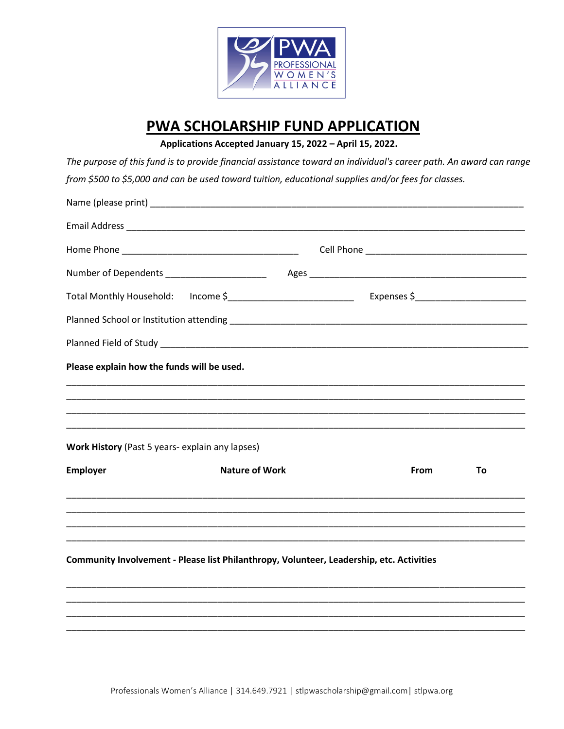

## PWA SCHOLARSHIP FUND APPLICATION

## Applications Accepted January 15, 2022 - April 15, 2022.

The purpose of this fund is to provide financial assistance toward an individual's career path. An award can range from \$500 to \$5,000 and can be used toward tuition, educational supplies and/or fees for classes.

| Please explain how the funds will be used.      |                                                                                          |             |    |
|-------------------------------------------------|------------------------------------------------------------------------------------------|-------------|----|
|                                                 |                                                                                          |             |    |
|                                                 |                                                                                          |             |    |
| Work History (Past 5 years- explain any lapses) |                                                                                          |             |    |
| <b>Employer</b>                                 | <b>Nature of Work</b>                                                                    | <b>From</b> | To |
|                                                 |                                                                                          |             |    |
|                                                 |                                                                                          |             |    |
|                                                 | Community Involvement - Please list Philanthropy, Volunteer, Leadership, etc. Activities |             |    |
|                                                 |                                                                                          |             |    |
|                                                 |                                                                                          |             |    |
|                                                 |                                                                                          |             |    |